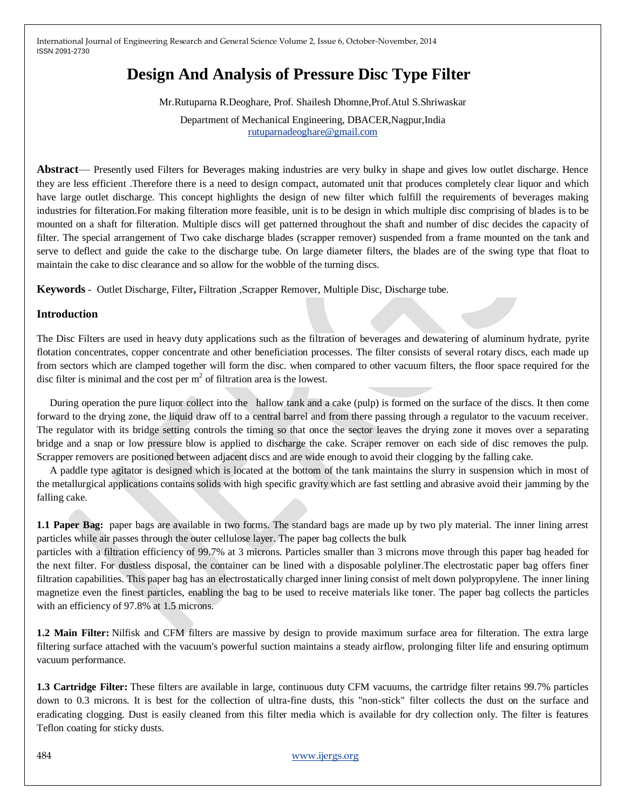# **Design And Analysis of Pressure Disc Type Filter**

Mr.Rutuparna R.Deoghare, Prof. Shailesh Dhomne,Prof.Atul S.Shriwaskar

Department of Mechanical Engineering, DBACER,Nagpur,India [rutuparnadeoghare@gmail.com](mailto:rutuparnadeoghare@gmail.com)

**Abstract**— Presently used Filters for Beverages making industries are very bulky in shape and gives low outlet discharge. Hence they are less efficient .Therefore there is a need to design compact, automated unit that produces completely clear liquor and which have large outlet discharge. This concept highlights the design of new filter which fulfill the requirements of beverages making industries for filteration.For making filteration more feasible, unit is to be design in which multiple disc comprising of blades is to be mounted on a shaft for filteration. Multiple discs will get patterned throughout the shaft and number of disc decides the capacity of filter. The special arrangement of Two cake discharge blades (scrapper remover) suspended from a frame mounted on the tank and serve to deflect and guide the cake to the discharge tube. On large diameter filters, the blades are of the swing type that float to maintain the cake to disc clearance and so allow for the wobble of the turning discs.

**Keywords** - Outlet Discharge, Filter**,** Filtration ,Scrapper Remover, Multiple Disc, Discharge tube.

## **Introduction**

The Disc Filters are used in heavy duty applications such as the filtration of beverages and dewatering of aluminum hydrate, pyrite flotation concentrates, copper concentrate and other beneficiation processes. The filter consists of several rotary discs, each made up from sectors which are clamped together will form the disc. when compared to other vacuum filters, the floor space required for the disc filter is minimal and the cost per  $m<sup>2</sup>$  of filtration area is the lowest.

 During operation the pure liquor collect into the hallow tank and a cake (pulp) is formed on the surface of the discs. It then come forward to the drying zone, the liquid draw off to a central barrel and from there passing through a regulator to the vacuum receiver. The regulator with its bridge setting controls the timing so that once the sector leaves the drying zone it moves over a separating bridge and a snap or low pressure blow is applied to discharge the cake. Scraper remover on each side of disc removes the pulp. Scrapper removers are positioned between adjacent discs and are wide enough to avoid their clogging by the falling cake.

 A paddle type agitator is designed which is located at the bottom of the tank maintains the slurry in suspension which in most of the metallurgical applications contains solids with high specific gravity which are fast settling and abrasive avoid their jamming by the falling cake.

**1.1 Paper Bag:** paper bags are available in two forms. The standard bags are made up by two ply material. The inner lining arrest particles while air passes through the outer cellulose layer. The paper bag collects the bulk

particles with a filtration efficiency of 99.7% at 3 microns. Particles smaller than 3 microns move through this paper bag headed for the next filter. For dustless disposal, the container can be lined with a disposable polyliner.The electrostatic paper bag offers finer filtration capabilities. This paper bag has an electrostatically charged inner lining consist of melt down polypropylene. The inner lining magnetize even the finest particles, enabling the bag to be used to receive materials like toner. The paper bag collects the particles with an efficiency of 97.8% at 1.5 microns.

**1.2 Main Filter:** Nilfisk and CFM filters are massive by design to provide maximum surface area for filteration. The extra large filtering surface attached with the vacuum's powerful suction maintains a steady airflow, prolonging filter life and ensuring optimum vacuum performance.

**1.3 Cartridge Filter:** These filters are available in large, continuous duty CFM vacuums, the cartridge filter retains 99.7% particles down to 0.3 microns. It is best for the collection of ultra-fine dusts, this "non-stick" filter collects the dust on the surface and eradicating clogging. Dust is easily cleaned from this filter media which is available for dry collection only. The filter is features Teflon coating for sticky dusts.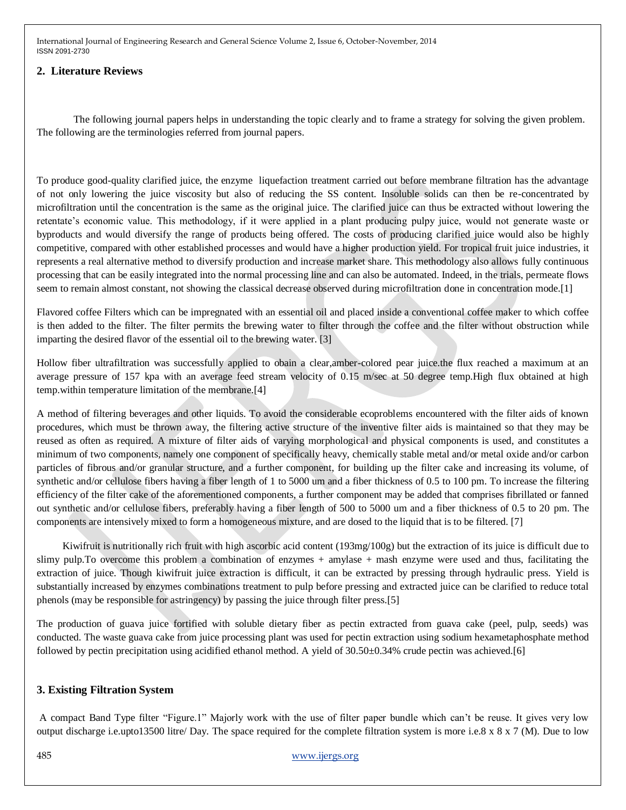## **2. Literature Reviews**

The following journal papers helps in understanding the topic clearly and to frame a strategy for solving the given problem. The following are the terminologies referred from journal papers.

To produce good-quality clarified juice, the enzyme liquefaction treatment carried out before membrane filtration has the advantage of not only lowering the juice viscosity but also of reducing the SS content. Insoluble solids can then be re-concentrated by microfiltration until the concentration is the same as the original juice. The clarified juice can thus be extracted without lowering the retentate's economic value. This methodology, if it were applied in a plant producing pulpy juice, would not generate waste or byproducts and would diversify the range of products being offered. The costs of producing clarified juice would also be highly competitive, compared with other established processes and would have a higher production yield. For tropical fruit juice industries, it represents a real alternative method to diversify production and increase market share. This methodology also allows fully continuous processing that can be easily integrated into the normal processing line and can also be automated. Indeed, in the trials, permeate flows seem to remain almost constant, not showing the classical decrease observed during microfiltration done in concentration mode.[1]

Flavored coffee Filters which can be impregnated with an essential oil and placed inside a conventional coffee maker to which coffee is then added to the filter. The filter permits the brewing water to filter through the coffee and the filter without obstruction while imparting the desired flavor of the essential oil to the brewing water. [3]

Hollow fiber ultrafiltration was successfully applied to obain a clear,amber-colored pear juice.the flux reached a maximum at an average pressure of 157 kpa with an average feed stream velocity of 0.15 m/sec at 50 degree temp.High flux obtained at high temp.within temperature limitation of the membrane.[4]

A method of filtering beverages and other liquids. To avoid the considerable ecoproblems encountered with the filter aids of known procedures, which must be thrown away, the filtering active structure of the inventive filter aids is maintained so that they may be reused as often as required. A mixture of filter aids of varying morphological and physical components is used, and constitutes a minimum of two components, namely one component of specifically heavy, chemically stable metal and/or metal oxide and/or carbon particles of fibrous and/or granular structure, and a further component, for building up the filter cake and increasing its volume, of synthetic and/or cellulose fibers having a fiber length of 1 to 5000 um and a fiber thickness of 0.5 to 100 pm. To increase the filtering efficiency of the filter cake of the aforementioned components, a further component may be added that comprises fibrillated or fanned out synthetic and/or cellulose fibers, preferably having a fiber length of 500 to 5000 um and a fiber thickness of 0.5 to 20 pm. The components are intensively mixed to form a homogeneous mixture, and are dosed to the liquid that is to be filtered. [7]

 Kiwifruit is nutritionally rich fruit with high ascorbic acid content (193mg/100g) but the extraction of its juice is difficult due to slimy pulp.To overcome this problem a combination of enzymes + amylase + mash enzyme were used and thus, facilitating the extraction of juice. Though kiwifruit juice extraction is difficult, it can be extracted by pressing through hydraulic press. Yield is substantially increased by enzymes combinations treatment to pulp before pressing and extracted juice can be clarified to reduce total phenols (may be responsible for astringency) by passing the juice through filter press.[5]

The production of guava juice fortified with soluble dietary fiber as pectin extracted from guava cake (peel, pulp, seeds) was conducted. The waste guava cake from juice processing plant was used for pectin extraction using sodium hexametaphosphate method followed by pectin precipitation using acidified ethanol method. A yield of 30.50±0.34% crude pectin was achieved.[6]

## **3. Existing Filtration System**

A compact Band Type filter "Figure.1" Majorly work with the use of filter paper bundle which can't be reuse. It gives very low output discharge i.e.upto13500 litre/ Day. The space required for the complete filtration system is more i.e.8 x 8 x 7 (M). Due to low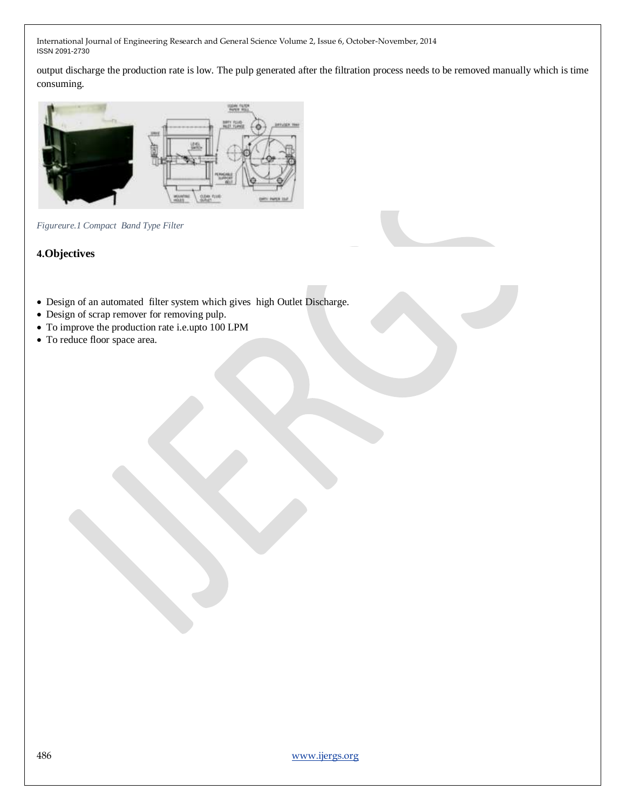output discharge the production rate is low. The pulp generated after the filtration process needs to be removed manually which is time consuming.



*Figureure.1 Compact Band Type Filter*

## **4.Objectives**

- Design of an automated filter system which gives high Outlet Discharge.
- Design of scrap remover for removing pulp.
- To improve the production rate i.e.upto 100 LPM
- To reduce floor space area.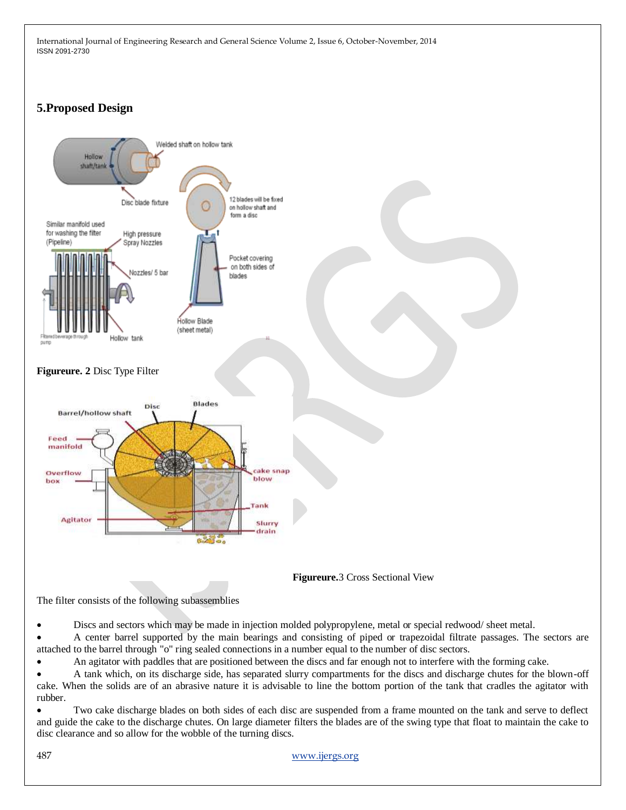# **5.Proposed Design**





The filter consists of the following subassemblies

Discs and sectors which may be made in injection molded polypropylene, metal or special redwood/ sheet metal.

 A center barrel supported by the main bearings and consisting of piped or trapezoidal filtrate passages. The sectors are attached to the barrel through "o" ring sealed connections in a number equal to the number of disc sectors.

An agitator with paddles that are positioned between the discs and far enough not to interfere with the forming cake.

 A tank which, on its discharge side, has separated slurry compartments for the discs and discharge chutes for the blown-off cake. When the solids are of an abrasive nature it is advisable to line the bottom portion of the tank that cradles the agitator with rubber.

 Two cake discharge blades on both sides of each disc are suspended from a frame mounted on the tank and serve to deflect and guide the cake to the discharge chutes. On large diameter filters the blades are of the swing type that float to maintain the cake to disc clearance and so allow for the wobble of the turning discs.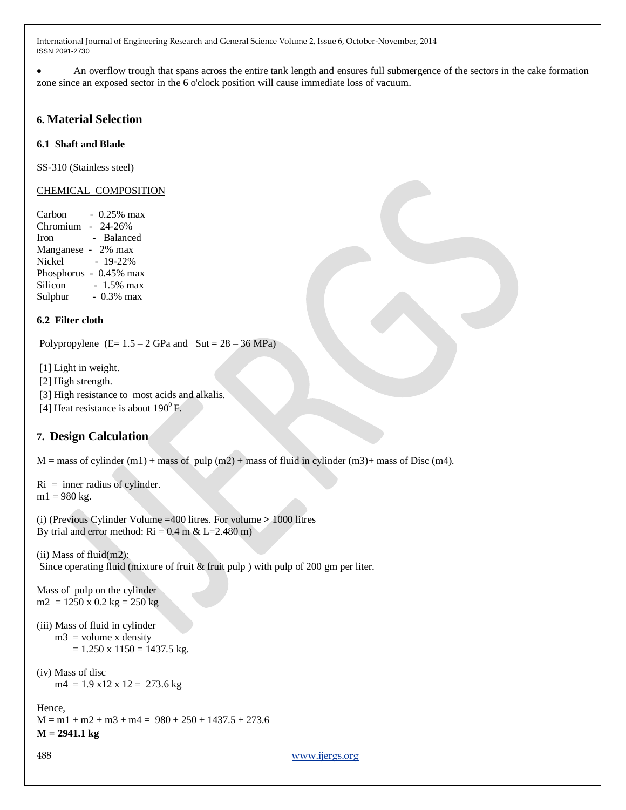An overflow trough that spans across the entire tank length and ensures full submergence of the sectors in the cake formation zone since an exposed sector in the 6 o'clock position will cause immediate loss of vacuum.

## **6. Material Selection**

## **6.1 Shaft and Blade**

SS-310 (Stainless steel)

## CHEMICAL COMPOSITION

Carbon  $-0.25\%$  max Chromium - 24-26% Iron - Balanced Manganese - 2% max Nickel - 19-22% Phosphorus - 0.45% max Silicon - 1.5% max Sulphur - 0.3% max

## **6.2 Filter cloth**

Polypropylene  $(E= 1.5 - 2 \text{ GPa} \text{ and } \text{Sut} = 28 - 36 \text{ MPa})$ 

[1] Light in weight.

[2] High strength.

[3] High resistance to most acids and alkalis.

[4] Heat resistance is about  $190^{\circ}$  F.

## **7. Design Calculation**

 $M =$  mass of cylinder (m1) + mass of pulp (m2) + mass of fluid in cylinder (m3) + mass of Disc (m4).

```
Ri = inner radius of cylinder.
m1 = 980 kg.
```

```
(i) (Previous Cylinder Volume =400 litres. For volume > 1000 litres 
By trial and error method: \text{Ri} = 0.4 \text{ m} \& \text{L} = 2.480 \text{ m})
```
(ii) Mass of fluid(m2): Since operating fluid (mixture of fruit & fruit pulp ) with pulp of 200 gm per liter.

Mass of pulp on the cylinder  $m2 = 1250 \times 0.2 \text{ kg} = 250 \text{ kg}$ 

```
(iii) Mass of fluid in cylinder 
    m3 = volume x density
        = 1.250 x 1150 = 1437.5 kg.
```

```
(iv) Mass of disc 
    m4 = 1.9 x 12 \times 12 = 273.6 kg
```

```
Hence,
M = m1 + m2 + m3 + m4 = 980 + 250 + 1437.5 + 273.6M = 2941.1 kg
```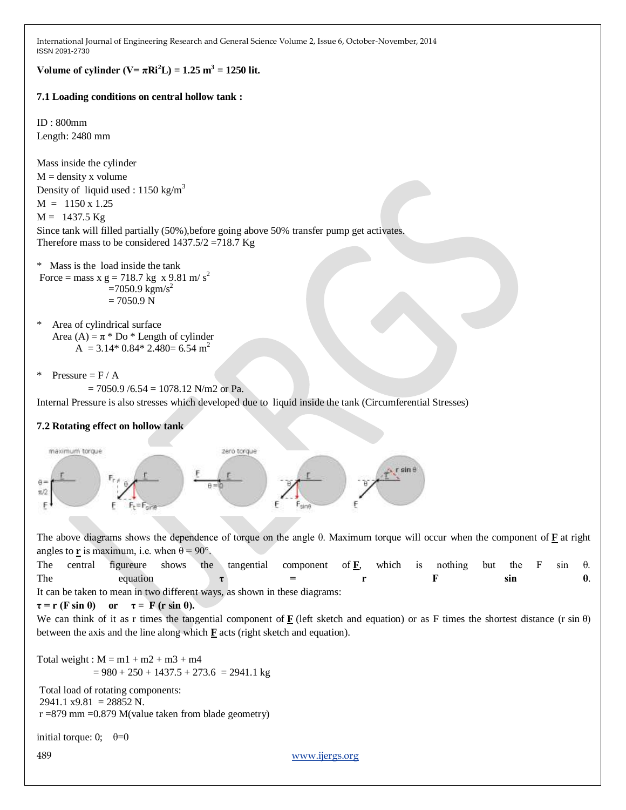**Volume of cylinder (V=**  $\pi$ **Ri**<sup>2</sup>**L**) = 1.25 m<sup>3</sup> = 1250 lit.

## **7.1 Loading conditions on central hollow tank :**

ID : 800mm Length: 2480 mm

Mass inside the cylinder  $M =$  density x volume Density of liquid used :  $1150 \text{ kg/m}^3$  $M = 1150 \times 1.25$  $M = 1437.5$  Kg Since tank will filled partially (50%),before going above 50% transfer pump get activates. Therefore mass to be considered  $1437.5/2 = 718.7$  Kg

```
* Mass is the load inside the tank 
Force = mass x g = 718.7 kg x 9.81 m/s<sup>2</sup>
                   =7050.9 kgm/s<sup>2</sup>
                   = 7050.9 N
```
\* Area of cylindrical surface Area (A) =  $\pi$  \* Do \* Length of cylinder  $A = 3.14*0.84*2.480=6.54 m<sup>2</sup>$ 

```
* Pressure = F / A
```

```
= 7050.9 / 6.54 = 1078.12 N/m2 or Pa.
```
Internal Pressure is also stresses which developed due to liquid inside the tank (Circumferential Stresses)

## **7.2 Rotating effect on hollow tank**



The above diagrams shows the dependence of torque on the angle θ. Maximum torque will occur when the component of **F** at right angles to **r** is maximum, i.e. when  $\theta = 90^\circ$ .

The central figureure shows the tangential component of **F**, which is nothing but the F sin θ. The equation  $\tau = r$  **F** sin  $\theta$ . It can be taken to mean in two different ways, as shown in these diagrams:

```
\tau = r (F sin \theta) or \tau = F (r sin \theta).
```
We can think of it as r times the tangential component of  $\bf{F}$  (left sketch and equation) or as F times the shortest distance (r sin  $\theta$ ) between the axis and the line along which  $\mathbf{F}$  acts (right sketch and equation).

Total weight :  $M = m1 + m2 + m3 + m4$  $= 980 + 250 + 1437.5 + 273.6 = 2941.1$  kg

Total load of rotating components:  $2941.1$   $x9.81$  = 28852 N.  $r = 879$  mm = 0.879 M(value taken from blade geometry)

initial torque: 0;  $\theta = 0$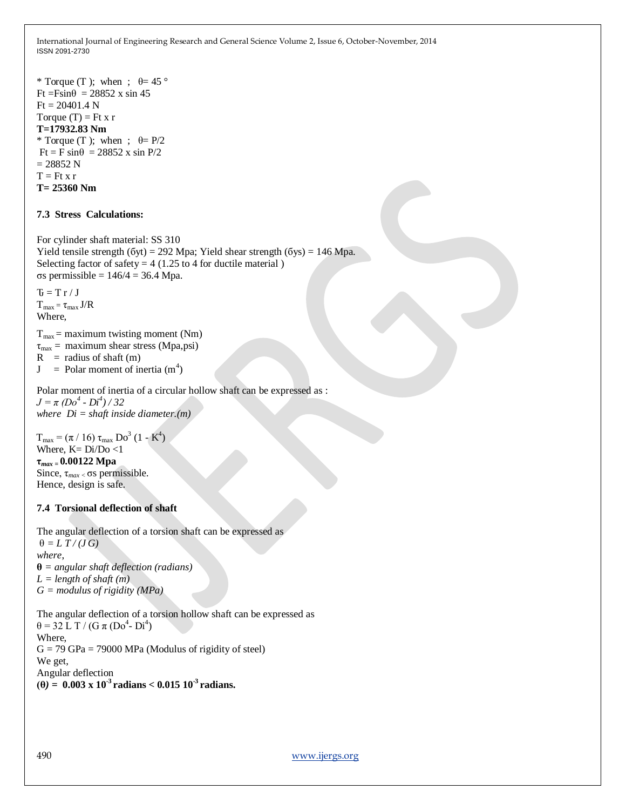```
* Torque (T ); when ; \theta = 45^\circFt = F\sin\theta = 28852 x sin 45
Ft = 20401.4 NTorque (T) = Ft x r
T=17932.83 Nm
* Torque (T ); when ; \theta = P/2Ft = F \sin\theta = 28852 x sin P/2
= 28852 NT = Ft x rT= 25360 Nm
```
## **7.3 Stress Calculations:**

For cylinder shaft material: SS 310 Yield tensile strength (бyt) = 292 Mpa; Yield shear strength (бys) = 146 Mpa. Selecting factor of safety  $= 4$  (1.25 to 4 for ductile material) σs permissible = 146/4 = 36.4 Mpa.

 $\mathbf{U} = \mathbf{T} \mathbf{r} / \mathbf{J}$  $T_{max} = \tau_{max} J/R$ Where,

 $T_{\text{max}}$  = maximum twisting moment (Nm)  $\tau_{\text{max}} =$  maximum shear stress (Mpa,psi)  $R =$  radius of shaft (m)

 $J =$  Polar moment of inertia  $(m<sup>4</sup>)$ 

Polar moment of inertia of a circular hollow shaft can be expressed as :  $J = \pi (Do^4 - Di^4)/32$ *where Di = shaft inside diameter.(m)*

 $T_{\text{max}} = (\pi / 16) \tau_{\text{max}} \text{Do}^3 (1 - \text{K}^4)$ Where,  $K=Di/Do <1$ 

#### **τ***max =* **0.00122 Mpa**

 Since, τ*max <* σs permissible. Hence, design is safe.

#### **7.4 Torsional deflection of shaft**

The angular deflection of a torsion shaft can be expressed as  $\theta = L T / (J G)$ *where*, **θ** *= angular shaft deflection (radians) L = length of shaft (m) G = modulus of rigidity (MPa)* 

The angular deflection of a torsion hollow shaft can be expressed as  $\theta = 32 \text{ L T} / (\text{G } \pi \text{ (Do}^4 \text{ - Di}^4))$ Where,  $G = 79$  GPa = 79000 MPa (Modulus of rigidity of steel) We get, Angular deflection  $(0) = 0.003 \times 10^{-3}$  **radians < 0.015 10<sup>-3</sup> <b>radians.**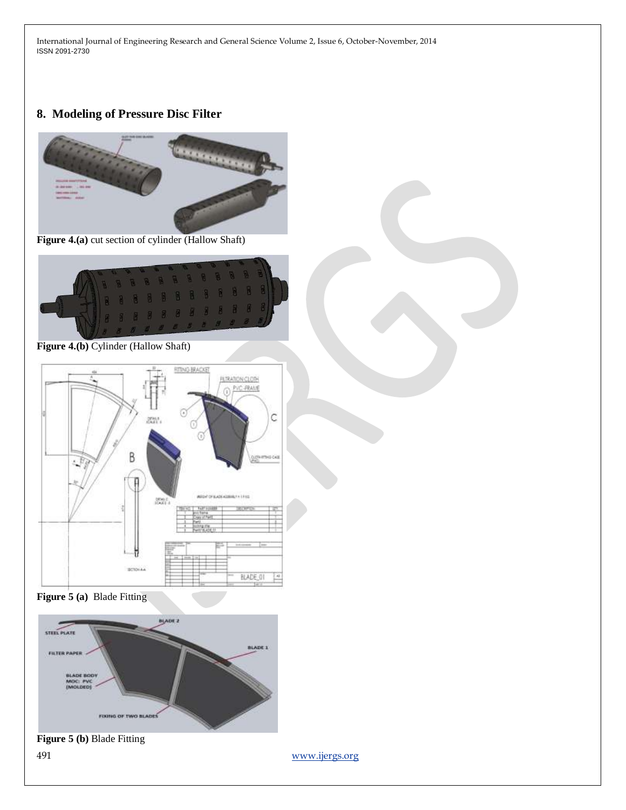# **8. Modeling of Pressure Disc Filter**



**Figure 4.(a)** cut section of cylinder (Hallow Shaft)



**Figure 4.(b)** Cylinder (Hallow Shaft)



**Figure 5 (a)** Blade Fitting



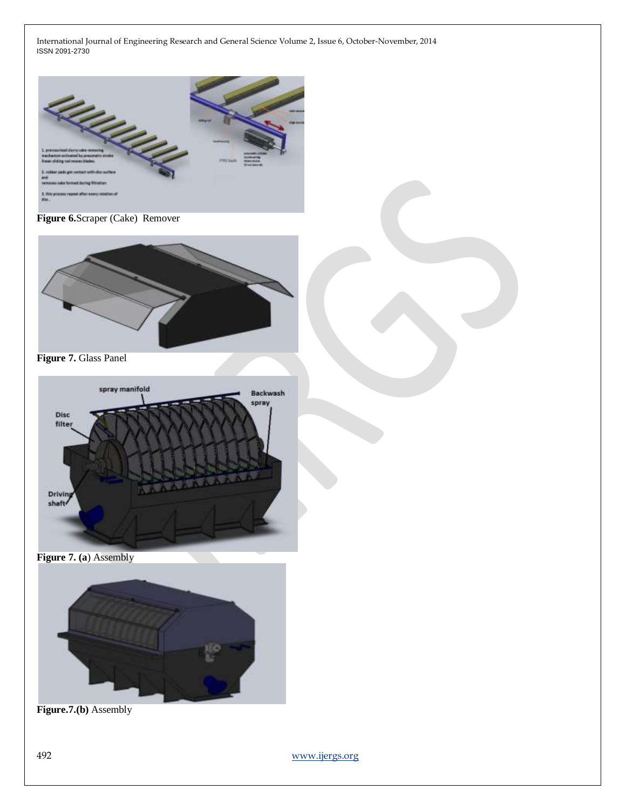

**Figure 6.**Scraper (Cake) Remover



**Figure 7.** Glass Panel



**Figure 7. (a**) Assembly



**Figure.7.(b)** Assembly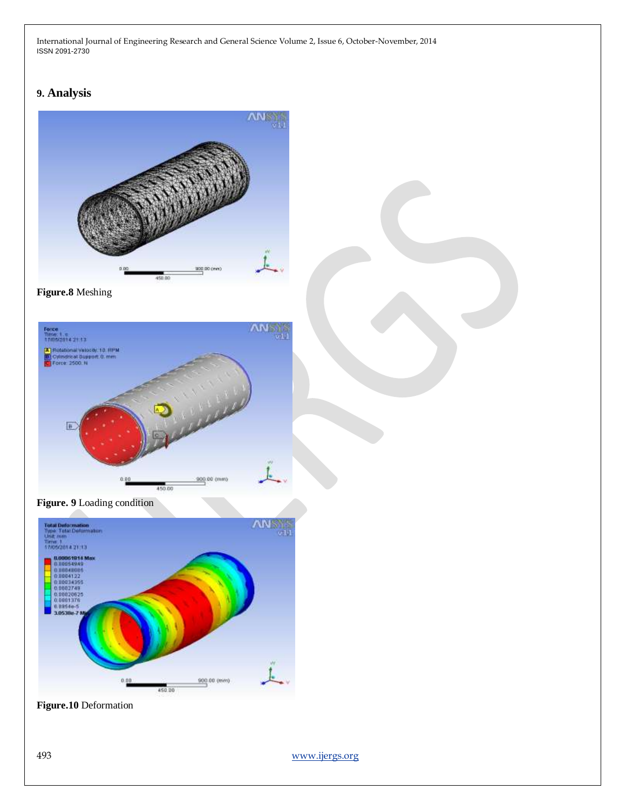# **9. Analysis**



**Figure.8** Meshing







**Figure.10** Deformation